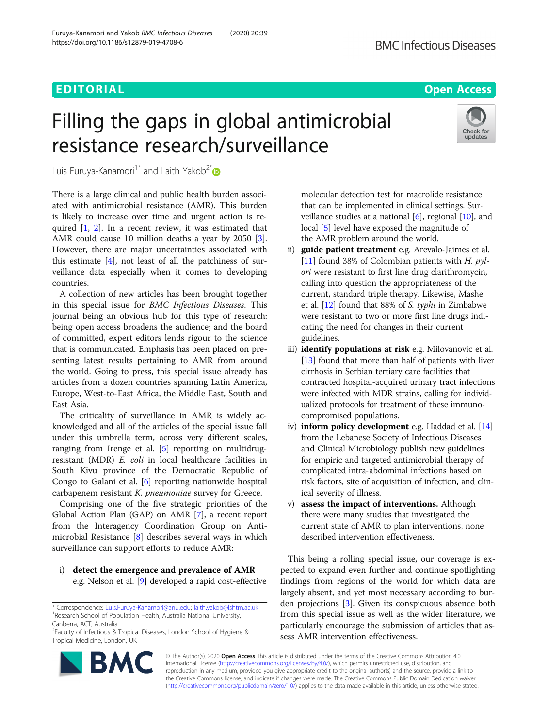## EDITORIAL AND Open Access to the control of the control of the control of the control of the control of the co

# Filling the gaps in global antimicrobial resistance research/surveillance



Luis Furuya-Kanamori<sup>1\*</sup> and Laith Yakob<sup>2\*</sup>

There is a large clinical and public health burden associated with antimicrobial resistance (AMR). This burden is likely to increase over time and urgent action is required [[1,](#page-1-0) [2\]](#page-1-0). In a recent review, it was estimated that AMR could cause 10 million deaths a year by 2050 [\[3](#page-1-0)]. However, there are major uncertainties associated with this estimate [\[4](#page-1-0)], not least of all the patchiness of surveillance data especially when it comes to developing countries.

A collection of new articles has been brought together in this special issue for BMC Infectious Diseases. This journal being an obvious hub for this type of research: being open access broadens the audience; and the board of committed, expert editors lends rigour to the science that is communicated. Emphasis has been placed on presenting latest results pertaining to AMR from around the world. Going to press, this special issue already has articles from a dozen countries spanning Latin America, Europe, West-to-East Africa, the Middle East, South and East Asia.

The criticality of surveillance in AMR is widely acknowledged and all of the articles of the special issue fall under this umbrella term, across very different scales, ranging from Irenge et al. [[5\]](#page-1-0) reporting on multidrugresistant (MDR) E. coli in local healthcare facilities in South Kivu province of the Democratic Republic of Congo to Galani et al. [\[6](#page-1-0)] reporting nationwide hospital carbapenem resistant K. pneumoniae survey for Greece.

Comprising one of the five strategic priorities of the Global Action Plan (GAP) on AMR [[7\]](#page-1-0), a recent report from the Interagency Coordination Group on Antimicrobial Resistance [[8\]](#page-1-0) describes several ways in which surveillance can support efforts to reduce AMR:

i) detect the emergence and prevalence of AMR e.g. Nelson et al. [[9\]](#page-1-0) developed a rapid cost-effective

<sup>&</sup>lt;sup>2</sup> Faculty of Infectious & Tropical Diseases, London School of Hygiene & Tropical Medicine, London, UK



molecular detection test for macrolide resistance that can be implemented in clinical settings. Surveillance studies at a national  $[6]$  $[6]$ , regional  $[10]$  $[10]$  $[10]$ , and local [\[5\]](#page-1-0) level have exposed the magnitude of the AMR problem around the world.

- ii) guide patient treatment e.g. Arevalo-Jaimes et al. [[11](#page-1-0)] found 38% of Colombian patients with  $H.$  pylori were resistant to first line drug clarithromycin, calling into question the appropriateness of the current, standard triple therapy. Likewise, Mashe et al. [[12](#page-1-0)] found that 88% of S. typhi in Zimbabwe were resistant to two or more first line drugs indicating the need for changes in their current guidelines.
- iii) **identify populations at risk** e.g. Milovanovic et al. [[13](#page-1-0)] found that more than half of patients with liver cirrhosis in Serbian tertiary care facilities that contracted hospital-acquired urinary tract infections were infected with MDR strains, calling for individualized protocols for treatment of these immunocompromised populations.
- iv) inform policy development e.g. Haddad et al. [\[14](#page-1-0)] from the Lebanese Society of Infectious Diseases and Clinical Microbiology publish new guidelines for empiric and targeted antimicrobial therapy of complicated intra-abdominal infections based on risk factors, site of acquisition of infection, and clinical severity of illness.
- v) assess the impact of interventions. Although there were many studies that investigated the current state of AMR to plan interventions, none described intervention effectiveness.

This being a rolling special issue, our coverage is expected to expand even further and continue spotlighting findings from regions of the world for which data are largely absent, and yet most necessary according to burden projections [\[3](#page-1-0)]. Given its conspicuous absence both from this special issue as well as the wider literature, we particularly encourage the submission of articles that assess AMR intervention effectiveness.

© The Author(s). 2020 **Open Access** This article is distributed under the terms of the Creative Commons Attribution 4.0 International License [\(http://creativecommons.org/licenses/by/4.0/](http://creativecommons.org/licenses/by/4.0/)), which permits unrestricted use, distribution, and reproduction in any medium, provided you give appropriate credit to the original author(s) and the source, provide a link to the Creative Commons license, and indicate if changes were made. The Creative Commons Public Domain Dedication waiver [\(http://creativecommons.org/publicdomain/zero/1.0/](http://creativecommons.org/publicdomain/zero/1.0/)) applies to the data made available in this article, unless otherwise stated.

<sup>\*</sup> Correspondence: [Luis.Furuya-Kanamori@anu.edu](mailto:Luis.Furuya-Kanamori@anu.edu); laith.yakob@lshtm.ac.uk <sup>1</sup> <sup>1</sup> Research School of Population Health, Australia National University, Canberra, ACT, Australia